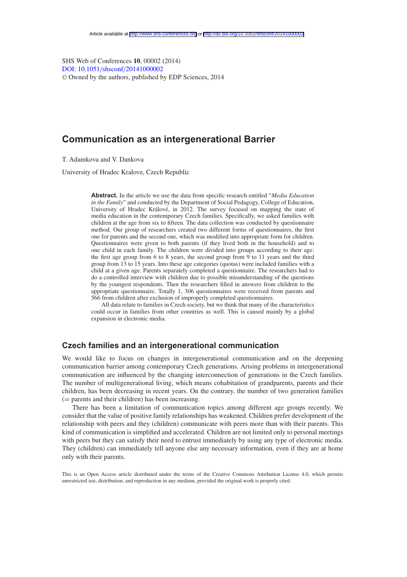SHS Web of Conferences **10**, 00002 (2014) [DOI: 10.1051](http://dx.doi.org/10.1051/shsconf/20141000002)/shsconf/20141000002 <sup>C</sup> Owned by the authors, published by EDP Sciences, 2014

# **Communication as an intergenerational Barrier**

T. Adamkova and V. Dankova

University of Hradec Kralove, Czech Republic

**Abstract.** In the article we use the data from specific research entitled "*Media Education in the Family*" and conducted by the Department of Social Pedagogy, College of Education, University of Hradec Králové, in 2012. The survey focused on mapping the state of media education in the contemporary Czech families. Specifically, we asked families with children at the age from six to fifteen. The data collection was conducted by questionnaire method. Our group of researchers created two different forms of questionnaires, the first one for parents and the second one, which was modified into appropriate form for children. Questionnaires were given to both parents (if they lived both in the household) and to one child in each family. The children were divided into groups according to their age: the first age group from 6 to 8 years, the second group from 9 to 11 years and the third group from 13 to 15 years. Into these age categories (quotas) were included families with a child at a given age. Parents separately completed a questionnaire. The researchers had to do a controlled interview with children due to possible misunderstanding of the questions by the youngest respondents. Then the researchers filled in answers from children to the appropriate questionnaire. Totally 1, 306 questionnaires were received from parents and 566 from children after exclusion of improperly completed questionnaires.

All data relate to families in Czech society, but we think that many of the characteristics could occur in families from other countries as well. This is caused mainly by a global expansion in electronic media.

### **Czech families and an intergenerational communication**

We would like to focus on changes in intergenerational communication and on the deepening communication barrier among contemporary Czech generations. Arising problems in intergenerational communication are influenced by the changing interconnection of generations in the Czech families. The number of multigenerational living, which means cohabitation of grandparents, parents and their children, has been decreasing in recent years. On the contrary, the number of two generation families (= parents and their children) has been increasing.

There has been a limitation of communication topics among different age groups recently. We consider that the value of positive family relationships has weakened. Children prefer development of the relationship with peers and they (children) communicate with peers more than with their parents. This kind of communication is simplified and accelerated. Children are not limited only to personal meetings with peers but they can satisfy their need to entrust immediately by using any type of electronic media. They (children) can immediately tell anyone else any necessary information, even if they are at home only with their parents.

This is an Open Access article distributed under the terms of the Creative Commons Attribution License 4.0, which permits unrestricted use, distribution, and reproduction in any medium, provided the original work is properly cited.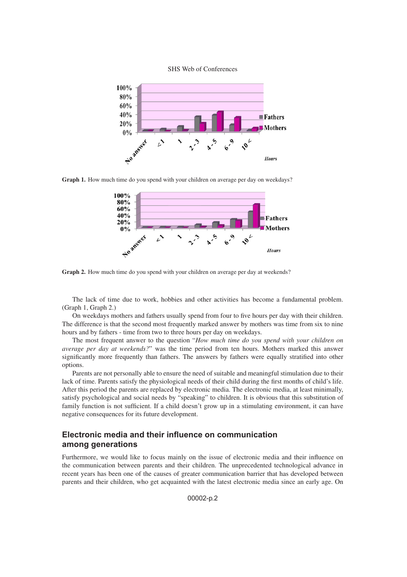SHS Web of Conferences



**Graph 1.** How much time do you spend with your children on average per day on weekdays?



**Graph 2.** How much time do you spend with your children on average per day at weekends?

The lack of time due to work, hobbies and other activities has become a fundamental problem. (Graph 1, Graph 2.)

On weekdays mothers and fathers usually spend from four to five hours per day with their children. The difference is that the second most frequently marked answer by mothers was time from six to nine hours and by fathers - time from two to three hours per day on weekdays.

The most frequent answer to the question "*How much time do you spend with your children on average per day at weekends?*" was the time period from ten hours. Mothers marked this answer significantly more frequently than fathers. The answers by fathers were equally stratified into other options.

Parents are not personally able to ensure the need of suitable and meaningful stimulation due to their lack of time. Parents satisfy the physiological needs of their child during the first months of child's life. After this period the parents are replaced by electronic media. The electronic media, at least minimally, satisfy psychological and social needs by "speaking" to children. It is obvious that this substitution of family function is not sufficient. If a child doesn't grow up in a stimulating environment, it can have negative consequences for its future development.

## **Electronic media and their influence on communication among generations**

Furthermore, we would like to focus mainly on the issue of electronic media and their influence on the communication between parents and their children. The unprecedented technological advance in recent years has been one of the causes of greater communication barrier that has developed between parents and their children, who get acquainted with the latest electronic media since an early age. On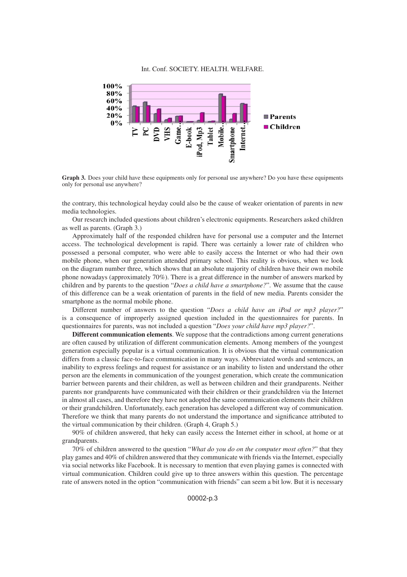#### Int. Conf. SOCIETY. HEALTH. WELFARE.



**Graph 3.** Does your child have these equipments only for personal use anywhere? Do you have these equipments only for personal use anywhere?

the contrary, this technological heyday could also be the cause of weaker orientation of parents in new media technologies.

Our research included questions about children's electronic equipments. Researchers asked children as well as parents. (Graph 3.)

Approximately half of the responded children have for personal use a computer and the Internet access. The technological development is rapid. There was certainly a lower rate of children who possessed a personal computer, who were able to easily access the Internet or who had their own mobile phone, when our generation attended primary school. This reality is obvious, when we look on the diagram number three, which shows that an absolute majority of children have their own mobile phone nowadays (approximately 70%). There is a great difference in the number of answers marked by children and by parents to the question "*Does a child have a smartphone?*". We assume that the cause of this difference can be a weak orientation of parents in the field of new media. Parents consider the smartphone as the normal mobile phone.

Different number of answers to the question "*Does a child have an iPod or mp3 player?*" is a consequence of improperly assigned question included in the questionnaires for parents. In questionnaires for parents, was not included a question "*Does your child have mp3 player?*".

**Different communication elements**. We suppose that the contradictions among current generations are often caused by utilization of different communication elements. Among members of the youngest generation especially popular is a virtual communication. It is obvious that the virtual communication differs from a classic face-to-face communication in many ways. Abbreviated words and sentences, an inability to express feelings and request for assistance or an inability to listen and understand the other person are the elements in communication of the youngest generation, which create the communication barrier between parents and their children, as well as between children and their grandparents. Neither parents nor grandparents have communicated with their children or their grandchildren via the Internet in almost all cases, and therefore they have not adopted the same communication elements their children or their grandchildren. Unfortunately, each generation has developed a different way of communication. Therefore we think that many parents do not understand the importance and significance attributed to the virtual communication by their children. (Graph 4, Graph 5.)

90% of children answered, that heky can easily access the Internet either in school, at home or at grandparents.

70% of children answered to the question "*What do you do on the computer most often?*" that they play games and 40% of children answered that they communicate with friends via the Internet, especially via social networks like Facebook. It is necessary to mention that even playing games is connected with virtual communication. Children could give up to three answers within this question. The percentage rate of answers noted in the option "communication with friends" can seem a bit low. But it is necessary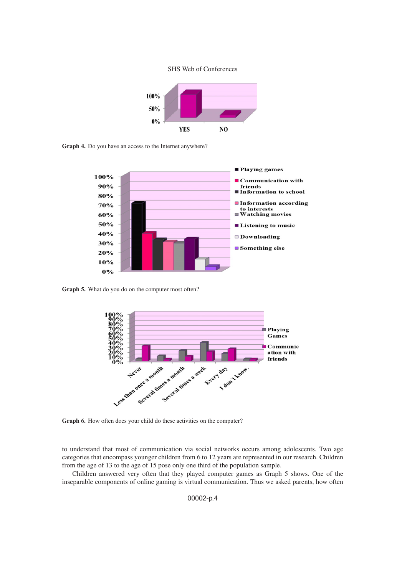SHS Web of Conferences



**Graph 4.** Do you have an access to the Internet anywhere?



**Graph 5.** What do you do on the computer most often?



Graph 6. How often does your child do these activities on the computer?

to understand that most of communication via social networks occurs among adolescents. Two age categories that encompass younger children from 6 to 12 years are represented in our research. Children from the age of 13 to the age of 15 pose only one third of the population sample.

Children answered very often that they played computer games as Graph 5 shows. One of the inseparable components of online gaming is virtual communication. Thus we asked parents, how often

00002-p.4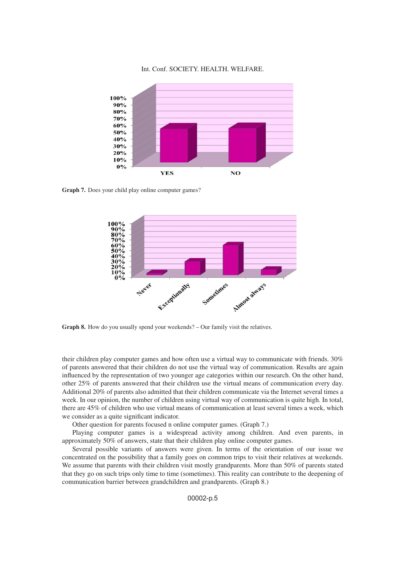

#### Int. Conf. SOCIETY. HEALTH. WELFARE.

**Graph 7.** Does your child play online computer games?



**Graph 8.** How do you usually spend your weekends? – Our family visit the relatives.

their children play computer games and how often use a virtual way to communicate with friends. 30% of parents answered that their children do not use the virtual way of communication. Results are again influenced by the representation of two younger age categories within our research. On the other hand, other 25% of parents answered that their children use the virtual means of communication every day. Additional 20% of parents also admitted that their children communicate via the Internet several times a week. In our opinion, the number of children using virtual way of communication is quite high. In total, there are 45% of children who use virtual means of communication at least several times a week, which we consider as a quite significant indicator.

Other question for parents focused n online computer games. (Graph 7.)

Playing computer games is a widespread activity among children. And even parents, in approximately 50% of answers, state that their children play online computer games.

Several possible variants of answers were given. In terms of the orientation of our issue we concentrated on the possibility that a family goes on common trips to visit their relatives at weekends. We assume that parents with their children visit mostly grandparents. More than 50% of parents stated that they go on such trips only time to time (sometimes). This reality can contribute to the deepening of communication barrier between grandchildren and grandparents. (Graph 8.)

00002-p.5